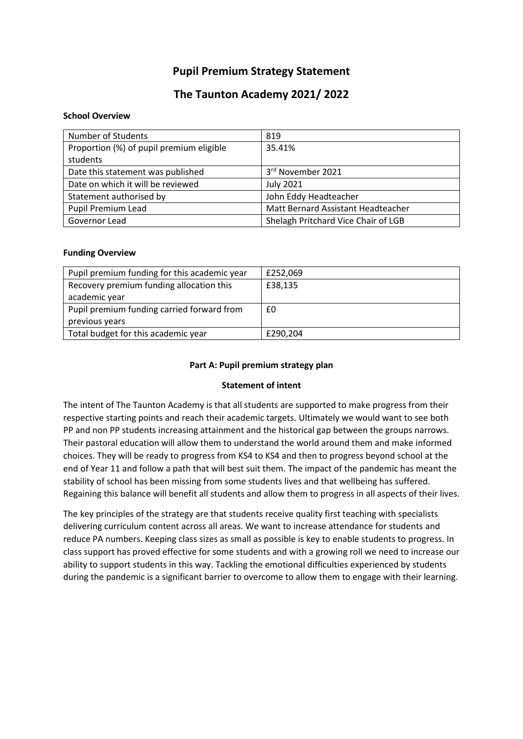## **Pupil Premium Strategy Statement**

## **The Taunton Academy 2021/ 2022**

#### **School Overview**

| <b>Number of Students</b>                | 819                                 |
|------------------------------------------|-------------------------------------|
| Proportion (%) of pupil premium eligible | 35.41%                              |
| students                                 |                                     |
| Date this statement was published        | 3rd November 2021                   |
| Date on which it will be reviewed        | <b>July 2021</b>                    |
| Statement authorised by                  | John Eddy Headteacher               |
| Pupil Premium Lead                       | Matt Bernard Assistant Headteacher  |
| Governor Lead                            | Shelagh Pritchard Vice Chair of LGB |

#### **Funding Overview**

| Pupil premium funding for this academic year | £252,069 |
|----------------------------------------------|----------|
| Recovery premium funding allocation this     | £38,135  |
| academic year                                |          |
| Pupil premium funding carried forward from   | £0       |
| previous years                               |          |
| Total budget for this academic year          | £290,204 |

#### **Part A: Pupil premium strategy plan**

#### **Statement of intent**

The intent of The Taunton Academy is that all students are supported to make progress from their respective starting points and reach their academic targets. Ultimately we would want to see both PP and non PP students increasing attainment and the historical gap between the groups narrows. Their pastoral education will allow them to understand the world around them and make informed choices. They will be ready to progress from KS4 to KS4 and then to progress beyond school at the end of Year 11 and follow a path that will best suit them. The impact of the pandemic has meant the stability of school has been missing from some students lives and that wellbeing has suffered. Regaining this balance will benefit all students and allow them to progress in all aspects of their lives.

The key principles of the strategy are that students receive quality first teaching with specialists delivering curriculum content across all areas. We want to increase attendance for students and reduce PA numbers. Keeping class sizes as small as possible is key to enable students to progress. In class support has proved effective for some students and with a growing roll we need to increase our ability to support students in this way. Tackling the emotional difficulties experienced by students during the pandemic is a significant barrier to overcome to allow them to engage with their learning.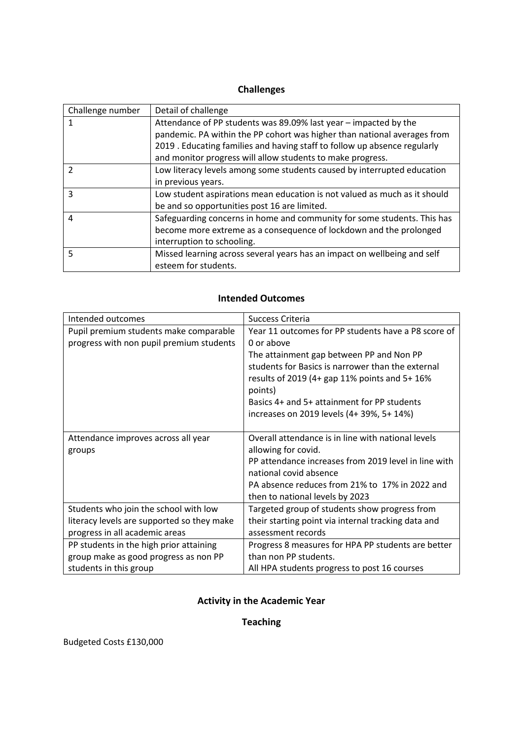## **Challenges**

| Challenge number | Detail of challenge                                                       |
|------------------|---------------------------------------------------------------------------|
|                  | Attendance of PP students was 89.09% last year – impacted by the          |
|                  | pandemic. PA within the PP cohort was higher than national averages from  |
|                  | 2019 . Educating families and having staff to follow up absence regularly |
|                  | and monitor progress will allow students to make progress.                |
|                  | Low literacy levels among some students caused by interrupted education   |
|                  | in previous years.                                                        |
| 3                | Low student aspirations mean education is not valued as much as it should |
|                  | be and so opportunities post 16 are limited.                              |
| 4                | Safeguarding concerns in home and community for some students. This has   |
|                  | become more extreme as a consequence of lockdown and the prolonged        |
|                  | interruption to schooling.                                                |
| 5                | Missed learning across several years has an impact on wellbeing and self  |
|                  | esteem for students.                                                      |

### **Intended Outcomes**

| Intended outcomes                          | Success Criteria                                                                              |
|--------------------------------------------|-----------------------------------------------------------------------------------------------|
| Pupil premium students make comparable     | Year 11 outcomes for PP students have a P8 score of                                           |
| progress with non pupil premium students   | 0 or above                                                                                    |
|                                            | The attainment gap between PP and Non PP<br>students for Basics is narrower than the external |
|                                            | results of 2019 (4+ gap 11% points and 5+ 16%                                                 |
|                                            | points)                                                                                       |
|                                            | Basics 4+ and 5+ attainment for PP students                                                   |
|                                            | increases on 2019 levels (4+ 39%, 5+ 14%)                                                     |
|                                            |                                                                                               |
| Attendance improves across all year        | Overall attendance is in line with national levels                                            |
| groups                                     | allowing for covid.                                                                           |
|                                            | PP attendance increases from 2019 level in line with                                          |
|                                            | national covid absence                                                                        |
|                                            | PA absence reduces from 21% to 17% in 2022 and                                                |
|                                            | then to national levels by 2023                                                               |
| Students who join the school with low      | Targeted group of students show progress from                                                 |
| literacy levels are supported so they make | their starting point via internal tracking data and                                           |
| progress in all academic areas             | assessment records                                                                            |
| PP students in the high prior attaining    | Progress 8 measures for HPA PP students are better                                            |
| group make as good progress as non PP      | than non PP students.                                                                         |
| students in this group                     | All HPA students progress to post 16 courses                                                  |

## **Activity in the Academic Year**

## **Teaching**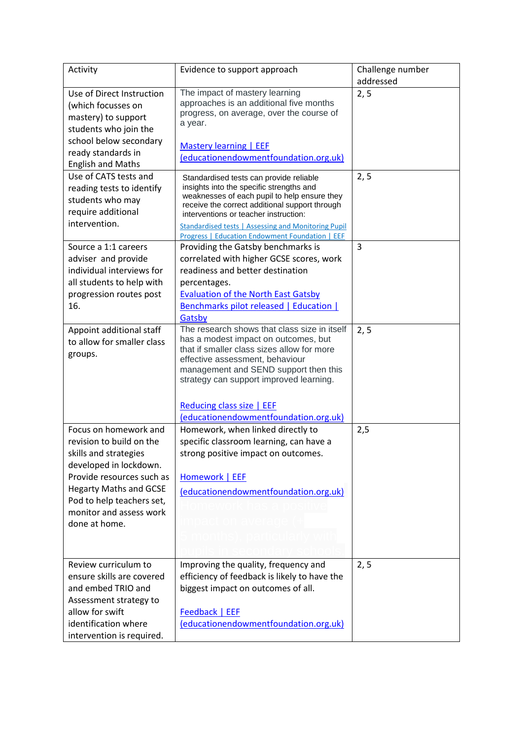| Activity                      | Evidence to support approach                                                         | Challenge number |
|-------------------------------|--------------------------------------------------------------------------------------|------------------|
|                               |                                                                                      | addressed        |
| Use of Direct Instruction     | The impact of mastery learning<br>approaches is an additional five months            | 2, 5             |
| (which focusses on            | progress, on average, over the course of                                             |                  |
| mastery) to support           | a year.                                                                              |                  |
| students who join the         |                                                                                      |                  |
| school below secondary        | Mastery learning   EEF                                                               |                  |
| ready standards in            | (educationendowmentfoundation.org.uk)                                                |                  |
| <b>English and Maths</b>      |                                                                                      |                  |
| Use of CATS tests and         | Standardised tests can provide reliable<br>insights into the specific strengths and  | 2, 5             |
| reading tests to identify     | weaknesses of each pupil to help ensure they                                         |                  |
| students who may              | receive the correct additional support through                                       |                  |
| require additional            | interventions or teacher instruction:                                                |                  |
| intervention.                 | <b>Standardised tests   Assessing and Monitoring Pupil</b>                           |                  |
|                               | <b>Progress   Education Endowment Foundation   EEF</b>                               |                  |
| Source a 1:1 careers          | Providing the Gatsby benchmarks is                                                   | 3                |
| adviser and provide           | correlated with higher GCSE scores, work                                             |                  |
| individual interviews for     | readiness and better destination                                                     |                  |
| all students to help with     | percentages.                                                                         |                  |
| progression routes post       | <b>Evaluation of the North East Gatsby</b>                                           |                  |
| 16.                           | <b>Benchmarks pilot released   Education  </b>                                       |                  |
|                               | Gatsby                                                                               |                  |
| Appoint additional staff      | The research shows that class size in itself<br>has a modest impact on outcomes, but | 2, 5             |
| to allow for smaller class    | that if smaller class sizes allow for more                                           |                  |
| groups.                       | effective assessment, behaviour                                                      |                  |
|                               | management and SEND support then this                                                |                  |
|                               | strategy can support improved learning.                                              |                  |
|                               |                                                                                      |                  |
|                               | Reducing class size   EEF                                                            |                  |
|                               | (educationendowmentfoundation.org.uk)                                                |                  |
| Focus on homework and         | Homework, when linked directly to                                                    | 2,5              |
| revision to build on the      | specific classroom learning, can have a                                              |                  |
| skills and strategies         | strong positive impact on outcomes.                                                  |                  |
| developed in lockdown.        |                                                                                      |                  |
| Provide resources such as     | Homework   EEF                                                                       |                  |
| <b>Hegarty Maths and GCSE</b> | (educationendowmentfoundation.org.uk)                                                |                  |
| Pod to help teachers set,     |                                                                                      |                  |
| monitor and assess work       |                                                                                      |                  |
| done at home.                 |                                                                                      |                  |
|                               |                                                                                      |                  |
|                               |                                                                                      |                  |
| Review curriculum to          | Improving the quality, frequency and                                                 | 2, 5             |
| ensure skills are covered     | efficiency of feedback is likely to have the                                         |                  |
| and embed TRIO and            | biggest impact on outcomes of all.                                                   |                  |
| Assessment strategy to        |                                                                                      |                  |
| allow for swift               | Feedback   EEF                                                                       |                  |
| identification where          | (educationendowmentfoundation.org.uk)                                                |                  |
| intervention is required.     |                                                                                      |                  |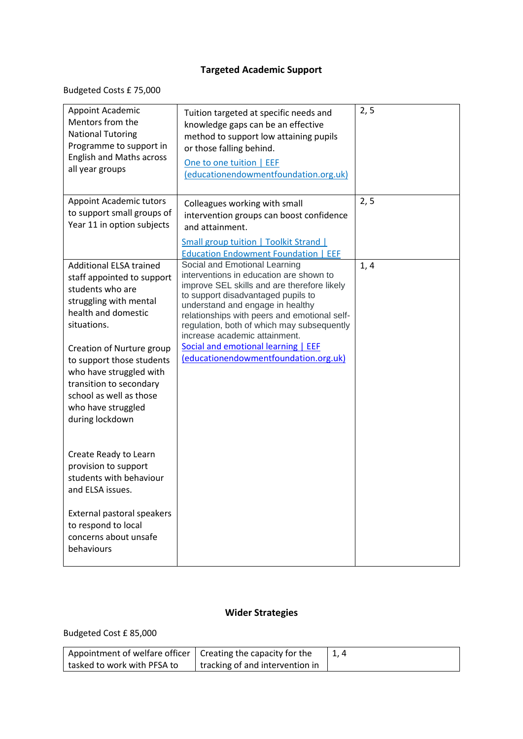## **Targeted Academic Support**

Budgeted Costs £ 75,000

| Appoint Academic<br>Mentors from the<br><b>National Tutoring</b><br>Programme to support in<br><b>English and Maths across</b><br>all year groups                             | Tuition targeted at specific needs and<br>knowledge gaps can be an effective<br>method to support low attaining pupils<br>or those falling behind.<br>One to one tuition   EEF<br>(educationendowmentfoundation.org.uk)                                                                                                                                                 | 2, 5 |
|-------------------------------------------------------------------------------------------------------------------------------------------------------------------------------|-------------------------------------------------------------------------------------------------------------------------------------------------------------------------------------------------------------------------------------------------------------------------------------------------------------------------------------------------------------------------|------|
| <b>Appoint Academic tutors</b><br>to support small groups of<br>Year 11 in option subjects                                                                                    | Colleagues working with small<br>intervention groups can boost confidence<br>and attainment.<br>Small group tuition   Toolkit Strand  <br><b>Education Endowment Foundation   EEF</b>                                                                                                                                                                                   | 2, 5 |
| <b>Additional ELSA trained</b><br>staff appointed to support<br>students who are<br>struggling with mental<br>health and domestic<br>situations.<br>Creation of Nurture group | Social and Emotional Learning<br>interventions in education are shown to<br>improve SEL skills and are therefore likely<br>to support disadvantaged pupils to<br>understand and engage in healthy<br>relationships with peers and emotional self-<br>regulation, both of which may subsequently<br>increase academic attainment.<br>Social and emotional learning   EEF | 1, 4 |
| to support those students<br>who have struggled with<br>transition to secondary<br>school as well as those<br>who have struggled<br>during lockdown                           | (educationendowmentfoundation.org.uk)                                                                                                                                                                                                                                                                                                                                   |      |
| Create Ready to Learn<br>provision to support<br>students with behaviour<br>and ELSA issues.                                                                                  |                                                                                                                                                                                                                                                                                                                                                                         |      |
| External pastoral speakers<br>to respond to local<br>concerns about unsafe<br>behaviours                                                                                      |                                                                                                                                                                                                                                                                                                                                                                         |      |

# **Wider Strategies**

Budgeted Cost £ 85,000

| $\,$ Appointment of welfare officer   Creating the capacity for the |                                 |  |
|---------------------------------------------------------------------|---------------------------------|--|
| tasked to work with PFSA to                                         | tracking of and intervention in |  |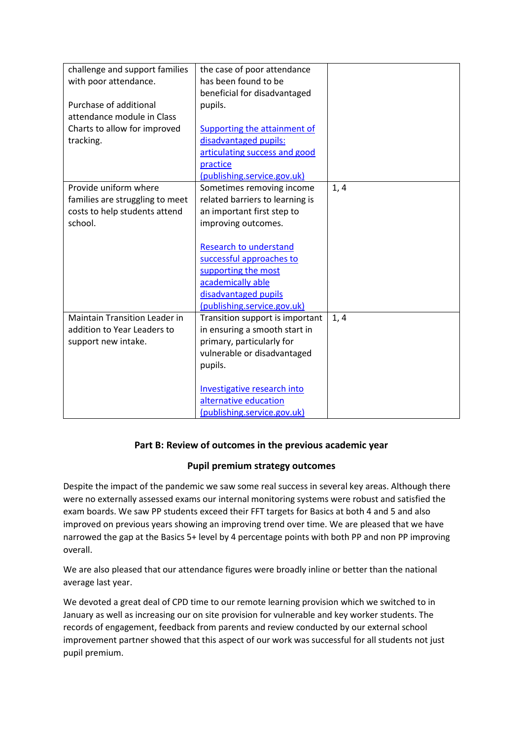| challenge and support families       | the case of poor attendance     |      |
|--------------------------------------|---------------------------------|------|
| with poor attendance.                | has been found to be            |      |
|                                      | beneficial for disadvantaged    |      |
| Purchase of additional               | pupils.                         |      |
| attendance module in Class           |                                 |      |
| Charts to allow for improved         | Supporting the attainment of    |      |
| tracking.                            | disadvantaged pupils:           |      |
|                                      | articulating success and good   |      |
|                                      | practice                        |      |
|                                      | (publishing.service.gov.uk)     |      |
| Provide uniform where                | Sometimes removing income       | 1, 4 |
| families are struggling to meet      | related barriers to learning is |      |
| costs to help students attend        | an important first step to      |      |
| school.                              | improving outcomes.             |      |
|                                      |                                 |      |
|                                      | <b>Research to understand</b>   |      |
|                                      | successful approaches to        |      |
|                                      | supporting the most             |      |
|                                      | academically able               |      |
|                                      | disadvantaged pupils            |      |
|                                      | (publishing.service.gov.uk)     |      |
| <b>Maintain Transition Leader in</b> | Transition support is important | 1, 4 |
| addition to Year Leaders to          | in ensuring a smooth start in   |      |
| support new intake.                  | primary, particularly for       |      |
|                                      | vulnerable or disadvantaged     |      |
|                                      | pupils.                         |      |
|                                      |                                 |      |
|                                      | Investigative research into     |      |
|                                      | alternative education           |      |
|                                      | (publishing.service.gov.uk)     |      |

### **Part B: Review of outcomes in the previous academic year**

### **Pupil premium strategy outcomes**

Despite the impact of the pandemic we saw some real success in several key areas. Although there were no externally assessed exams our internal monitoring systems were robust and satisfied the exam boards. We saw PP students exceed their FFT targets for Basics at both 4 and 5 and also improved on previous years showing an improving trend over time. We are pleased that we have narrowed the gap at the Basics 5+ level by 4 percentage points with both PP and non PP improving overall.

We are also pleased that our attendance figures were broadly inline or better than the national average last year.

We devoted a great deal of CPD time to our remote learning provision which we switched to in January as well as increasing our on site provision for vulnerable and key worker students. The records of engagement, feedback from parents and review conducted by our external school improvement partner showed that this aspect of our work was successful for all students not just pupil premium.